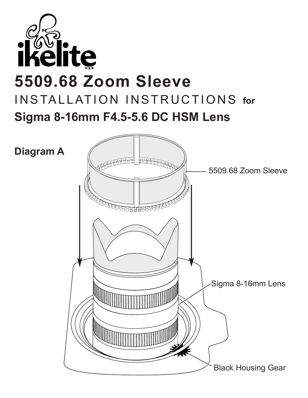

## **5509.68 Zoom Sleeve** INSTALLATION INSTRUCTIONS for **Sigma 8-16mm F4.5-5.6 DC HSM Lens**

**Diagram A**

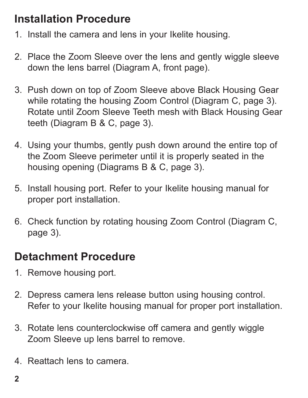## **Installation Procedure**

- 1. Install the camera and lens in your Ikelite housing.
- 2. Place the Zoom Sleeve over the lens and gently wiggle sleeve down the lens barrel (Diagram A, front page).
- 3. Push down on top of Zoom Sleeve above Black Housing Gear while rotating the housing Zoom Control (Diagram C, page 3). Rotate until Zoom Sleeve Teeth mesh with Black Housing Gear teeth (Diagram B & C, page 3).
- 4. Using your thumbs, gently push down around the entire top of the Zoom Sleeve perimeter until it is properly seated in the housing opening (Diagrams B & C, page 3).
- 5. Install housing port. Refer to your Ikelite housing manual for proper port installation.
- 6. Check function by rotating housing Zoom Control (Diagram C, page 3).

## **Detachment Procedure**

- 1. Remove housing port.
- 2. Depress camera lens release button using housing control. Refer to your Ikelite housing manual for proper port installation.
- 3. Rotate lens counterclockwise off camera and gently wiggle Zoom Sleeve up lens barrel to remove.
- 4. Reattach lens to camera.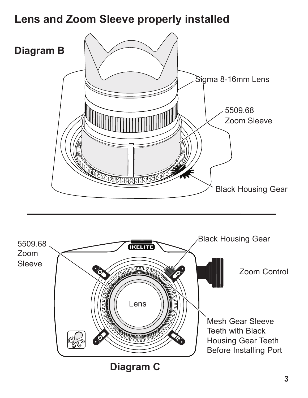## **Lens and Zoom Sleeve properly installed**